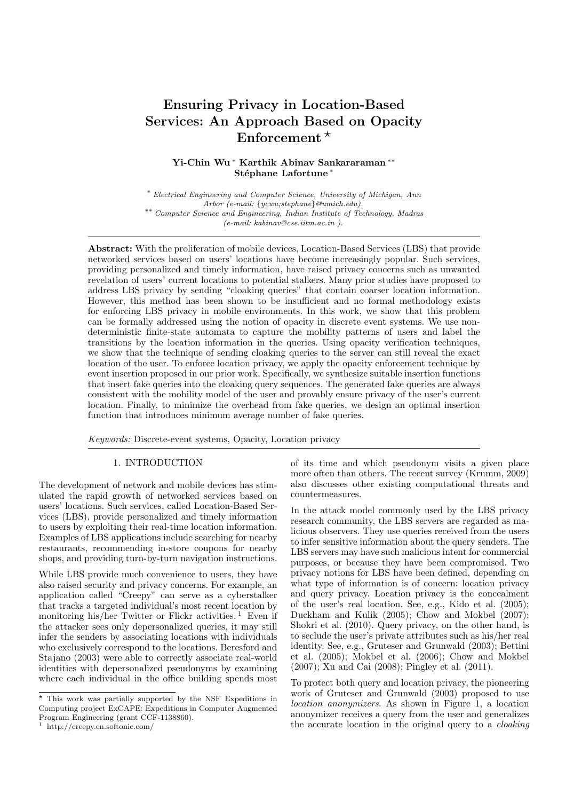# **Ensuring Privacy in Location-Based** Services: An Approach Based on Opacity Enforcement  $*$

## Yi-Chin Wu\* Karthik Abinav Sankararaman\*\* Stéphane Lafortune\*

\* Electrical Engineering and Computer Science, University of Michigan, Ann Arbor (e-mail: {ycwu;stephane}@umich.edu). \*\* Computer Science and Engineering, Indian Institute of Technology, Madras  $(e-mail: kabinav@cse.iitm.ac.in).$ 

**Abstract:** With the proliferation of mobile devices, Location-Based Services (LBS) that provide networked services based on users' locations have become increasingly popular. Such services, providing personalized and timely information, have raised privacy concerns such as unwanted revelation of users' current locations to potential stalkers. Many prior studies have proposed to address LBS privacy by sending "cloaking queries" that contain coarser location information. However, this method has been shown to be insufficient and no formal methodology exists for enforcing LBS privacy in mobile environments. In this work, we show that this problem can be formally addressed using the notion of opacity in discrete event systems. We use nondeterministic finite-state automata to capture the mobility patterns of users and label the transitions by the location information in the queries. Using opacity verification techniques, we show that the technique of sending cloaking queries to the server can still reveal the exact location of the user. To enforce location privacy, we apply the opacity enforcement technique by event insertion proposed in our prior work. Specifically, we synthesize suitable insertion functions that insert fake queries into the cloaking query sequences. The generated fake queries are always consistent with the mobility model of the user and provably ensure privacy of the user's current location. Finally, to minimize the overhead from fake queries, we design an optimal insertion function that introduces minimum average number of fake queries.

Keywords: Discrete-event systems, Opacity, Location privacy

## 1. INTRODUCTION

The development of network and mobile devices has stimulated the rapid growth of networked services based on users' locations. Such services, called Location-Based Services (LBS), provide personalized and timely information to users by exploiting their real-time location information. Examples of LBS applications include searching for nearby restaurants, recommending in-store coupons for nearby shops, and providing turn-by-turn navigation instructions.

While LBS provide much convenience to users, they have also raised security and privacy concerns. For example, an application called "Creepy" can serve as a cyberstalker that tracks a targeted individual's most recent location by monitoring his/her Twitter or Flickr activities.<sup>1</sup> Even if the attacker sees only depersonalized queries, it may still infer the senders by associating locations with individuals who exclusively correspond to the locations. Beresford and Stajano (2003) were able to correctly associate real-world identities with depersonalized pseudonyms by examining where each individual in the office building spends most

 $\frac{1}{1}$  http://creepy.en.softonic.com/

of its time and which pseudonym visits a given place more often than others. The recent survey (Krumm, 2009) also discusses other existing computational threats and countermeasures.

In the attack model commonly used by the LBS privacy research community, the LBS servers are regarded as malicious observers. They use queries received from the users to infer sensitive information about the query senders. The LBS servers may have such malicious intent for commercial purposes, or because they have been compromised. Two privacy notions for LBS have been defined, depending on what type of information is of concern: location privacy and query privacy. Location privacy is the concealment of the user's real location. See, e.g., Kido et al. (2005); Duckham and Kulik (2005); Chow and Mokbel (2007); Shokri et al. (2010). Query privacy, on the other hand, is to seclude the user's private attributes such as his/her real identity. See, e.g., Gruteser and Grunwald (2003); Bettini et al. (2005); Mokbel et al. (2006); Chow and Mokbel  $(2007)$ ; Xu and Cai  $(2008)$ ; Pingley et al.  $(2011)$ .

To protect both query and location privacy, the pioneering work of Gruteser and Grunwald (2003) proposed to use *location anonymizers.* As shown in Figure 1, a location anonymizer receives a query from the user and generalizes the accurate location in the original query to a *cloaking* 

 $\star$  This work was partially supported by the NSF Expeditions in Computing project ExCAPE: Expeditions in Computer Augmented Program Engineering (grant CCF-1138860).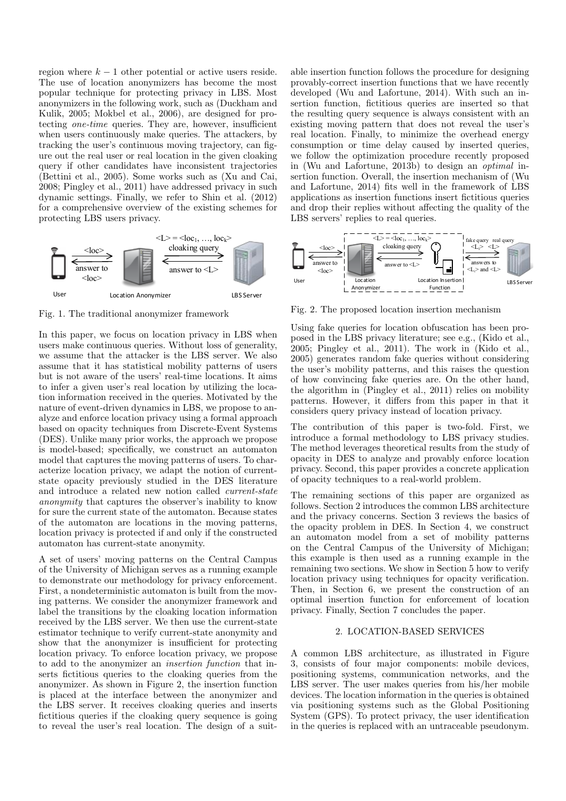region where  $k-1$  other potential or active users reside. The use of location anonymizers has become the most popular technique for protecting privacy in LBS. Most anonymizers in the following work, such as (Duckham and Kulik, 2005; Mokbel et al., 2006), are designed for protecting one-time queries. They are, however, insufficient when users continuously make queries. The attackers, by tracking the user's continuous moving trajectory, can figure out the real user or real location in the given cloaking query if other candidates have inconsistent trajectories (Bettini et al., 2005). Some works such as (Xu and Cai, 2008; Pingley et al., 2011) have addressed privacy in such dynamic settings. Finally, we refer to Shin et al. (2012) for a comprehensive overview of the existing schemes for protecting LBS users privacy.



Fig. 1. The traditional anonymizer framework

In this paper, we focus on location privacy in LBS when users make continuous queries. Without loss of generality, we assume that the attacker is the LBS server. We also assume that it has statistical mobility patterns of users but is not aware of the users' real-time locations. It aims to infer a given user's real location by utilizing the location information received in the queries. Motivated by the nature of event-driven dynamics in LBS, we propose to analyze and enforce location privacy using a formal approach based on opacity techniques from Discrete-Event Systems (DES). Unlike many prior works, the approach we propose is model-based; specifically, we construct an automaton model that captures the moving patterns of users. To characterize location privacy, we adapt the notion of currentstate opacity previously studied in the DES literature and introduce a related new notion called *current-state anonymity* that captures the observer's inability to know for sure the current state of the automaton. Because states of the automaton are locations in the moving patterns, location privacy is protected if and only if the constructed automaton has current-state anonymity.

A set of users' moving patterns on the Central Campus of the University of Michigan serves as a running example to demonstrate our methodology for privacy enforcement. First, a nondeterministic automaton is built from the moving patterns. We consider the anonymizer framework and label the transitions by the cloaking location information received by the LBS server. We then use the current-state estimator technique to verify current-state anonymity and show that the anonymizer is insufficient for protecting location privacy. To enforce location privacy, we propose to add to the anonymizer an *insertion function* that inserts fictitious queries to the cloaking queries from the anonymizer. As shown in Figure 2, the insertion function is placed at the interface between the anonymizer and the LBS server. It receives cloaking queries and inserts fictitious queries if the cloaking query sequence is going to reveal the user's real location. The design of a suitable insertion function follows the procedure for designing provably-correct insertion functions that we have recently developed (Wu and Lafortune, 2014). With such an insertion function, fictitious queries are inserted so that the resulting query sequence is always consistent with an existing moving pattern that does not reveal the user's real location. Finally, to minimize the overhead energy consumption or time delay caused by inserted queries, we follow the optimization procedure recently proposed in (Wu and Lafortune, 2013b) to design an *optimal* insertion function. Overall, the insertion mechanism of (Wu and Lafortune, 2014) fits well in the framework of LBS applications as insertion functions insert fictitious queries and drop their replies without affecting the quality of the LBS servers' replies to real queries.



Fig. 2. The proposed location insertion mechanism

Using fake queries for location obfuscation has been proposed in the LBS privacy literature; see e.g., (Kido et al.,  $2005$ ; Pingley et al.,  $2011$ ). The work in (Kido et al., 2005) generates random fake queries without considering the user's mobility patterns, and this raises the question of how convincing fake queries are. On the other hand, the algorithm in  $(Plngley et al., 2011)$  relies on mobility patterns. However, it differs from this paper in that it considers query privacy instead of location privacy.

The contribution of this paper is two-fold. First, we introduce a formal methodology to LBS privacy studies. The method leverages theoretical results from the study of opacity in DES to analyze and provably enforce location privacy. Second, this paper provides a concrete application of opacity techniques to a real-world problem.

The remaining sections of this paper are organized as follows. Section 2 introduces the common LBS architecture and the privacy concerns. Section 3 reviews the basics of the opacity problem in DES. In Section 4, we construct an automaton model from a set of mobility patterns on the Central Campus of the University of Michigan; this example is then used as a running example in the remaining two sections. We show in Section 5 how to verify location privacy using techniques for opacity verification. Then, in Section 6, we present the construction of an optimal insertion function for enforcement of location privacy. Finally, Section 7 concludes the paper.

#### 2. LOCATION-BASED SERVICES

A common LBS architecture, as illustrated in Figure 3, consists of four major components: mobile devices, positioning systems, communication networks, and the LBS server. The user makes queries from his/her mobile devices. The location information in the queries is obtained via positioning systems such as the Global Positioning System (GPS). To protect privacy, the user identification in the queries is replaced with an untraceable pseudonym.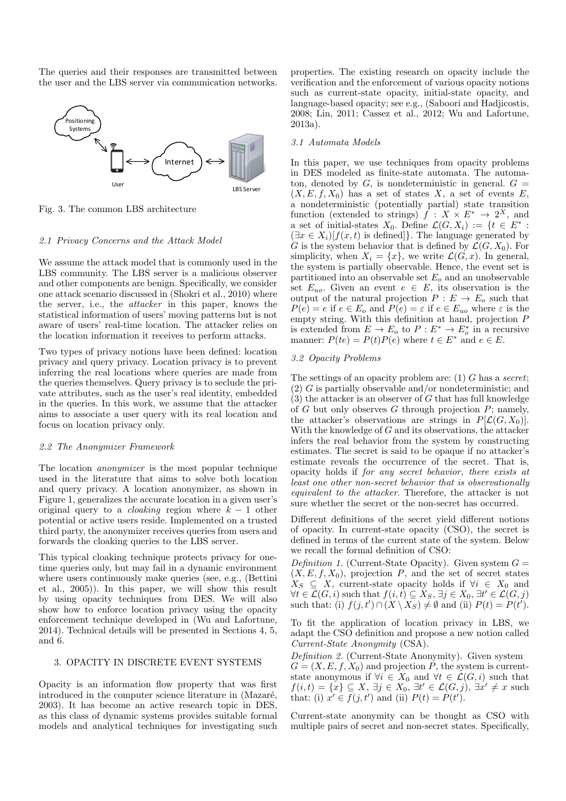The queries and their responses are transmitted between the user and the LBS server via communication networks.



Fig. 3. The common LBS architecture

#### 2.1 Privacy Concerns and the Attack Model

We assume the attack model that is commonly used in the LBS community. The LBS server is a malicious observer and other components are benign. Specifically, we consider one attack scenario discussed in (Shokri et al., 2010) where the server, i.e., the *attacker* in this paper, knows the statistical information of users' moving patterns but is not aware of users' real-time location. The attacker relies on the location information it receives to perform attacks.

Two types of privacy notions have been defined: location privacy and query privacy. Location privacy is to prevent inferring the real locations where queries are made from the queries themselves. Query privacy is to seclude the private attributes, such as the user's real identity, embedded in the queries. In this work, we assume that the attacker aims to associate a user query with its real location and focus on location privacy only.

#### 2.2 The Anonymizer Framework

The location *anonymizer* is the most popular technique used in the literature that aims to solve both location and query privacy. A location anonymizer, as shown in Figure 1, generalizes the accurate location in a given user's original query to a *cloaking* region where  $k-1$  other potential or active users reside. Implemented on a trusted third party, the anonymizer receives queries from users and forwards the cloaking queries to the LBS server.

This typical cloaking technique protects privacy for onetime queries only, but may fail in a dynamic environment where users continuously make queries (see, e.g., (Bettini et al.,  $(2005)$ ). In this paper, we will show this result by using opacity techniques from DES. We will also show how to enforce location privacy using the opacity enforcement technique developed in (Wu and Lafortune, 2014). Technical details will be presented in Sections 4, 5, and 6.

## 3. OPACITY IN DISCRETE EVENT SYSTEMS

Opacity is an information flow property that was first introduced in the computer science literature in (Mazaré, 2003). It has become an active research topic in DES, as this class of dynamic systems provides suitable formal models and analytical techniques for investigating such properties. The existing research on opacity include the verification and the enforcement of various opacity notions such as current-state opacity, initial-state opacity, and language-based opacity; see e.g., (Saboori and Hadjicostis,  $2008$ ; Lin,  $2011$ ; Cassez et al.,  $2012$ ; Wu and Lafortune,  $2013a$ ).

#### 3.1 Automata Models

In this paper, we use techniques from opacity problems in DES modeled as finite-state automata. The automaton, denoted by  $G$ , is nondeterministic in general.  $G =$  $(X, E, f, X_0)$  has a set of states X, a set of events E, a nondeterministic (potentially partial) state transition function (extended to strings)  $f: X \times E^* \to 2^X$ , and a set of initial-states  $X_0$ . Define  $\mathcal{L}(G, X_i) := \{t \in E^* :$  $(\exists x \in X_i)[f(x,t)]$  is defined. The language generated by G is the system behavior that is defined by  $\mathcal{L}(G, X_0)$ . For simplicity, when  $X_i = \{x\}$ , we write  $\mathcal{L}(G, x)$ . In general, the system is partially observable. Hence, the event set is partitioned into an observable set  $E<sub>o</sub>$  and an unobservable set  $E_{uo}$ . Given an event  $e \in E$ , its observation is the<br>output of the natural projection  $P : E \to E_o$  such that  $P(e) = e$  if  $e \in E_0$  and  $P(e) = \varepsilon$  if  $e \in E_{uo}$  where  $\varepsilon$  is the empty string. With this definition at hand, projection  $P$ is extended from  $E \to E_o$  to  $P: E^* \to E_o^*$  in a recursive manner:  $P(te) = P(t)P(e)$  where  $t \in E^*$  and  $e \in E$ .

#### 3.2 Opacity Problems

The settings of an opacity problem are: (1)  $G$  has a secret;  $(2)$  G is partially observable and/or nondeterministic; and  $(3)$  the attacker is an observer of G that has full knowledge of  $G$  but only observes  $G$  through projection  $P$ ; namely, the attacker's observations are strings in  $P[\mathcal{L}(G, X_0)].$ With the knowledge of  $G$  and its observations, the attacker infers the real behavior from the system by constructing estimates. The secret is said to be opaque if no attacker's estimate reveals the occurrence of the secret. That is, opacity holds if for any secret behavior, there exists at least one other non-secret behavior that is observationally equivalent to the attacker. Therefore, the attacker is not sure whether the secret or the non-secret has occurred.

Different definitions of the secret yield different notions of opacity. In current-state opacity  $(CSO)$ , the secret is defined in terms of the current state of the system. Below we recall the formal definition of CSO:

*Definition 1.* (Current-State Opacity). Given system  $G =$  $(X, E, f, X_0)$ , projection P, and the set of secret states  $X_S \subseteq X$ , current-state opacity holds if  $\forall i \in X_0$  and  $\forall t \in \mathcal{L}(G, i)$  such that  $f(i, t) \subseteq X_S$ ,  $\exists j \in X_0$ ,  $\exists t' \in \mathcal{L}(G, j)$ such that: (i)  $f(j, t') \cap (X \setminus X_S) \neq \emptyset$  and (ii)  $P(t) = P(t')$ .

To fit the application of location privacy in LBS, we adapt the CSO definition and propose a new notion called Current-State Anonymity (CSA).

Definition 2. (Current-State Anonymity). Given system  $G = (X, E, f, X_0)$  and projection  $P$ , the system is current-<br>state anonymous if  $\forall i \in X_0$  and  $\forall t \in \mathcal{L}(G, i)$  such that  $f(i,t) = \{x\} \subseteq X, \exists j \in X_0, \exists t' \in \mathcal{L}(G,j), \exists x' \neq x \text{ such}$ that: (i)  $x' \in f(j, t')$  and (ii)  $P(t) = P(t')$ .

Current-state anonymity can be thought as CSO with multiple pairs of secret and non-secret states. Specifically,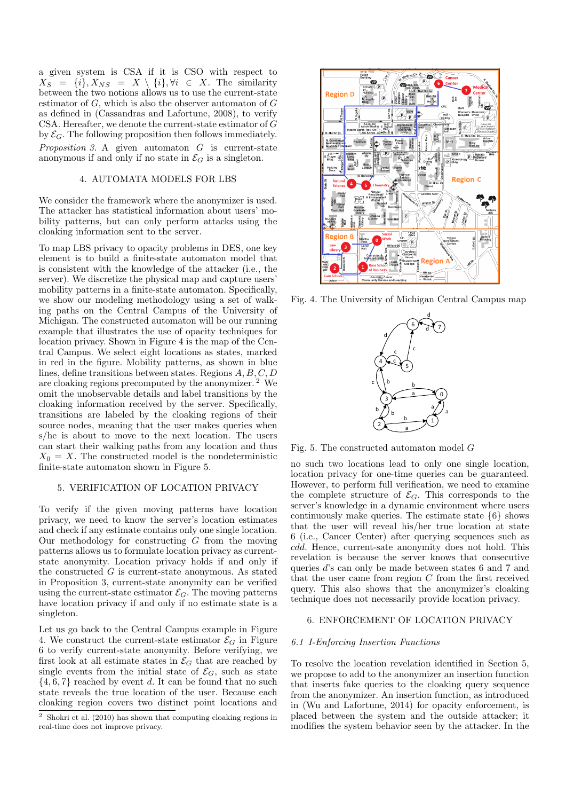a given system is CSA if it is CSO with respect to  $X_S = \{i\}, X_{NS} = X \setminus \{i\}, \forall i \in X$ . The similarity between the two notions allows us to use the current-state estimator of  $G$ , which is also the observer automaton of  $G$ as defined in (Cassandras and Lafortune, 2008), to verify CSA. Hereafter, we denote the current-state estimator of  $G$ by  $\mathcal{E}_G$ . The following proposition then follows immediately. *Proposition 3.* A given automaton  $G$  is current-state anonymous if and only if no state in  $\mathcal{E}_G$  is a singleton.

## 4. AUTOMATA MODELS FOR LBS

We consider the framework where the anonymizer is used. The attacker has statistical information about users' mobility patterns, but can only perform attacks using the cloaking information sent to the server.

To map LBS privacy to opacity problems in DES, one key element is to build a finite-state automaton model that is consistent with the knowledge of the attacker (i.e., the server). We discretize the physical map and capture users' mobility patterns in a finite-state automaton. Specifically, we show our modeling methodology using a set of walking paths on the Central Campus of the University of Michigan. The constructed automaton will be our running example that illustrates the use of opacity techniques for location privacy. Shown in Figure 4 is the map of the Central Campus. We select eight locations as states, marked in red in the figure. Mobility patterns, as shown in blue lines, define transitions between states. Regions  $A, B, C, D$ are cloaking regions precomputed by the anonymizer.<sup>2</sup> We omit the unobservable details and label transitions by the cloaking information received by the server. Specifically, transitions are labeled by the cloaking regions of their source nodes, meaning that the user makes queries when s/he is about to move to the next location. The users can start their walking paths from any location and thus  $X_0 = X$ . The constructed model is the nondeterministic finite-state automaton shown in Figure 5.

### 5. VERIFICATION OF LOCATION PRIVACY

To verify if the given moving patterns have location privacy, we need to know the server's location estimates and check if any estimate contains only one single location. Our methodology for constructing  $G$  from the moving patterns allows us to formulate location privacy as currentstate anonymity. Location privacy holds if and only if the constructed  $G$  is current-state anonymous. As stated in Proposition 3, current-state anonymity can be verified using the current-state estimator  $\mathcal{E}_G$ . The moving patterns have location privacy if and only if no estimate state is a singleton.

Let us go back to the Central Campus example in Figure 4. We construct the current-state estimator  $\mathcal{E}_G$  in Figure 6 to verify current-state anonymity. Before verifying, we first look at all estimate states in  $\mathcal{E}_G$  that are reached by single events from the initial state of  $\mathcal{E}_G$ , such as state  $\{4,6,7\}$  reached by event d. It can be found that no such state reveals the true location of the user. Because each cloaking region covers two distinct point locations and



Fig. 4. The University of Michigan Central Campus map



Fig. 5. The constructed automaton model  $G$ 

no such two locations lead to only one single location. location privacy for one-time queries can be guaranteed. However, to perform full verification, we need to examine the complete structure of  $\mathcal{E}_G$ . This corresponds to the server's knowledge in a dynamic environment where users continuously make queries. The estimate state  $\{6\}$  shows that the user will reveal his/her true location at state 6 (i.e., Cancer Center) after querying sequences such as cdd. Hence, current-sate anonymity does not hold. This revelation is because the server knows that consecutive queries  $d$ 's can only be made between states 6 and 7 and that the user came from region  $C$  from the first received query. This also shows that the anonymizer's cloaking technique does not necessarily provide location privacy.

## 6. ENFORCEMENT OF LOCATION PRIVACY

#### 6.1 I-Enforcing Insertion Functions

To resolve the location revelation identified in Section 5. we propose to add to the anonymizer an insertion function that inserts fake queries to the cloaking query sequence from the anonymizer. An insertion function, as introduced in (Wu and Lafortune, 2014) for opacity enforcement, is placed between the system and the outside attacker; it modifies the system behavior seen by the attacker. In the

 $2$  Shokri et al. (2010) has shown that computing cloaking regions in real-time does not improve privacy.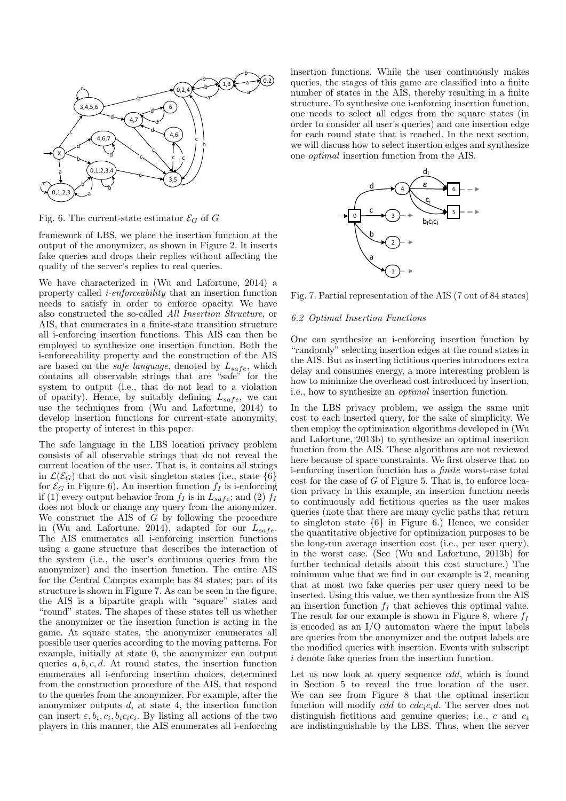

Fig. 6. The current-state estimator  $\mathcal{E}_G$  of G

framework of LBS, we place the insertion function at the output of the anonymizer, as shown in Figure 2. It inserts fake queries and drops their replies without affecting the quality of the server's replies to real queries.

We have characterized in (Wu and Lafortune, 2014) a property called *i-enforceability* that an insertion function needs to satisfy in order to enforce opacity. We have also constructed the so-called All Insertion Structure, or AIS, that enumerates in a finite-state transition structure all i-enforcing insertion functions. This AIS can then be employed to synthesize one insertion function. Both the i-enforceability property and the construction of the AIS are based on the *safe language*, denoted by  $L_{safe}$ , which contains all observable strings that are "safe" for the system to output (i.e., that do not lead to a violation of opacity). Hence, by suitably defining  $L_{safe}$ , we can use the techniques from (Wu and Lafortune, 2014) to develop insertion functions for current-state anonymity, the property of interest in this paper.

The safe language in the LBS location privacy problem consists of all observable strings that do not reveal the current location of the user. That is, it contains all strings in  $\mathcal{L}(\mathcal{E}_G)$  that do not visit singleton states (i.e., state  $\{6\}$ ) for  $\mathcal{E}_G$  in Figure 6). An insertion function  $f_I$  is i-enforcing if (1) every output behavior from  $f_I$  is in  $L_{safe}$ ; and (2)  $f_I$ does not block or change any query from the anonymizer. We construct the AIS of  $\tilde{G}$  by following the procedure in (Wu and Lafortune, 2014), adapted for our  $L_{safe}$ . The AIS enumerates all i-enforcing insertion functions using a game structure that describes the interaction of the system (i.e., the user's continuous queries from the anonymizer) and the insertion function. The entire AIS for the Central Campus example has 84 states; part of its structure is shown in Figure 7. As can be seen in the figure, the AIS is a bipartite graph with "square" states and "round" states. The shapes of these states tell us whether the anonymizer or the insertion function is acting in the game. At square states, the anonymizer enumerates all possible user queries according to the moving patterns. For example, initially at state 0, the anonymizer can output queries  $a, b, c, d$ . At round states, the insertion function enumerates all i-enforcing insertion choices, determined from the construction procedure of the AIS, that respond to the queries from the anonymizer. For example, after the anonymizer outputs  $d$ , at state 4, the insertion function can insert  $\varepsilon, b_i, c_i, b_i c_i c_i$ . By listing all actions of the two players in this manner, the AIS enumerates all i-enforcing

insertion functions. While the user continuously makes queries, the stages of this game are classified into a finite number of states in the AIS, thereby resulting in a finite structure. To synthesize one i-enforcing insertion function, one needs to select all edges from the square states (in order to consider all user's queries) and one insertion edge for each round state that is reached. In the next section, we will discuss how to select insertion edges and synthesize one *optimal* insertion function from the AIS.



Fig. 7. Partial representation of the AIS (7 out of 84 states)

### 6.2 Optimal Insertion Functions

One can synthesize an i-enforcing insertion function by "randomly" selecting insertion edges at the round states in the AIS. But as inserting fictitious queries introduces extra delay and consumes energy, a more interesting problem is how to minimize the overhead cost introduced by insertion, i.e., how to synthesize an *optimal* insertion function.

In the LBS privacy problem, we assign the same unit cost to each inserted query, for the sake of simplicity. We then employ the optimization algorithms developed in (Wu and Lafortune, 2013b) to synthesize an optimal insertion function from the AIS. These algorithms are not reviewed here because of space constraints. We first observe that no i-enforcing insertion function has a *finite* worst-case total  $\cos t$  for the case of G of Figure 5. That is, to enforce location privacy in this example, an insertion function needs to continuously add fictitious queries as the user makes queries (note that there are many cyclic paths that return to singleton state  $\{6\}$  in Figure 6.) Hence, we consider the quantitative objective for optimization purposes to be the long-run average insertion cost (i.e., per user query), in the worst case. (See (Wu and Lafortune, 2013b) for further technical details about this cost structure.) The minimum value that we find in our example is 2, meaning that at most two fake queries per user query need to be inserted. Using this value, we then synthesize from the AIS an insertion function  $f_I$  that achieves this optimal value. The result for our example is shown in Figure 8, where  $f_I$ is encoded as an  $I/O$  automaton where the input labels are queries from the anonymizer and the output labels are the modified queries with insertion. Events with subscript  $i$  denote fake queries from the insertion function.

Let us now look at query sequence  $cdd$ , which is found in Section 5 to reveal the true location of the user. We can see from Figure 8 that the optimal insertion function will modify *cdd* to  $cdc_i c_i d$ . The server does not distinguish fictitious and genuine queries; i.e., c and  $c_i$ are indistinguishable by the LBS. Thus, when the server